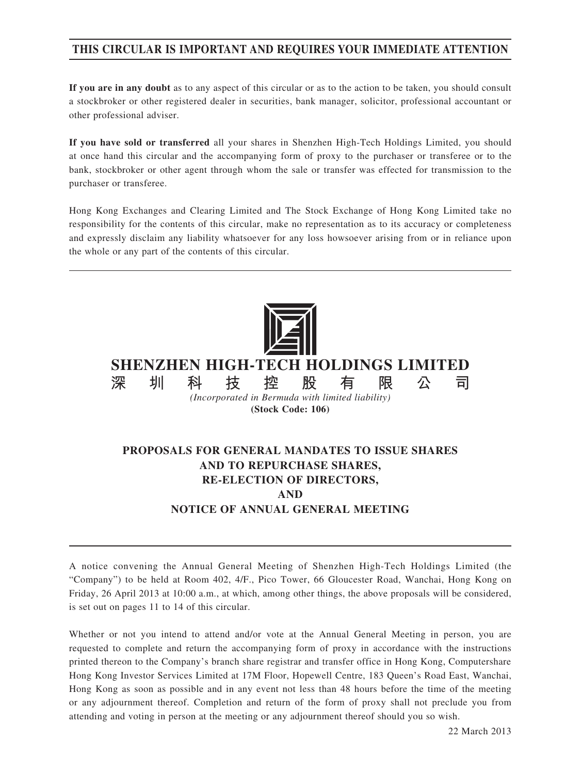# **THIS CIRCULAR IS IMPORTANT AND REQUIRES YOUR IMMEDIATE ATTENTION**

**If you are in any doubt** as to any aspect of this circular or as to the action to be taken, you should consult a stockbroker or other registered dealer in securities, bank manager, solicitor, professional accountant or other professional adviser.

**If you have sold or transferred** all your shares in Shenzhen High-Tech Holdings Limited, you should at once hand this circular and the accompanying form of proxy to the purchaser or transferee or to the bank, stockbroker or other agent through whom the sale or transfer was effected for transmission to the purchaser or transferee.

Hong Kong Exchanges and Clearing Limited and The Stock Exchange of Hong Kong Limited take no responsibility for the contents of this circular, make no representation as to its accuracy or completeness and expressly disclaim any liability whatsoever for any loss howsoever arising from or in reliance upon the whole or any part of the contents of this circular.



*(Incorporated in Bermuda with limited liability)* **(Stock Code: 106)**

# **PROPOSALS FOR GENERAL MANDATES TO ISSUE SHARES AND TO REPURCHASE SHARES, RE-ELECTION OF DIRECTORS, AND NOTICE OF ANNUAL GENERAL MEETING**

A notice convening the Annual General Meeting of Shenzhen High-Tech Holdings Limited (the "Company") to be held at Room 402, 4/F., Pico Tower, 66 Gloucester Road, Wanchai, Hong Kong on Friday, 26 April 2013 at 10:00 a.m., at which, among other things, the above proposals will be considered, is set out on pages 11 to 14 of this circular.

Whether or not you intend to attend and/or vote at the Annual General Meeting in person, you are requested to complete and return the accompanying form of proxy in accordance with the instructions printed thereon to the Company's branch share registrar and transfer office in Hong Kong, Computershare Hong Kong Investor Services Limited at 17M Floor, Hopewell Centre, 183 Queen's Road East, Wanchai, Hong Kong as soon as possible and in any event not less than 48 hours before the time of the meeting or any adjournment thereof. Completion and return of the form of proxy shall not preclude you from attending and voting in person at the meeting or any adjournment thereof should you so wish.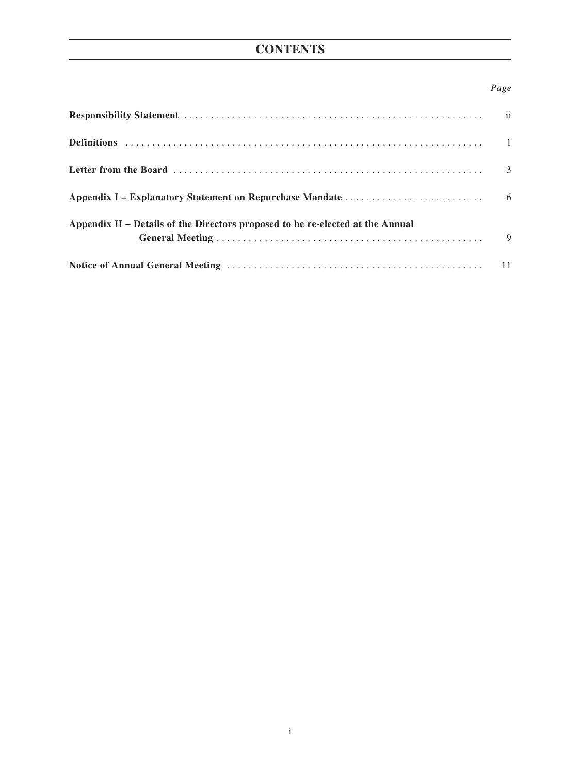# **CONTENTS**

## *Page*

| Appendix II – Details of the Directors proposed to be re-elected at the Annual |  |
|--------------------------------------------------------------------------------|--|
|                                                                                |  |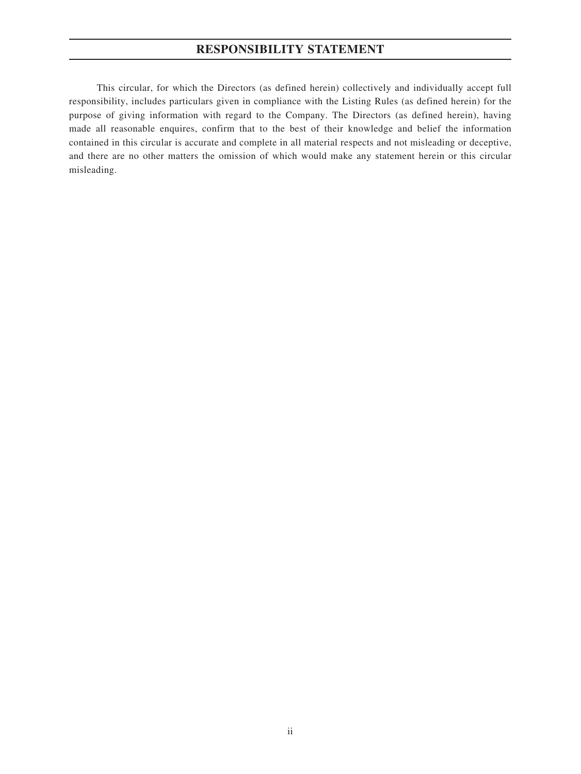# **RESPONSIBILITY STATEMENT**

This circular, for which the Directors (as defined herein) collectively and individually accept full responsibility, includes particulars given in compliance with the Listing Rules (as defined herein) for the purpose of giving information with regard to the Company. The Directors (as defined herein), having made all reasonable enquires, confirm that to the best of their knowledge and belief the information contained in this circular is accurate and complete in all material respects and not misleading or deceptive, and there are no other matters the omission of which would make any statement herein or this circular misleading.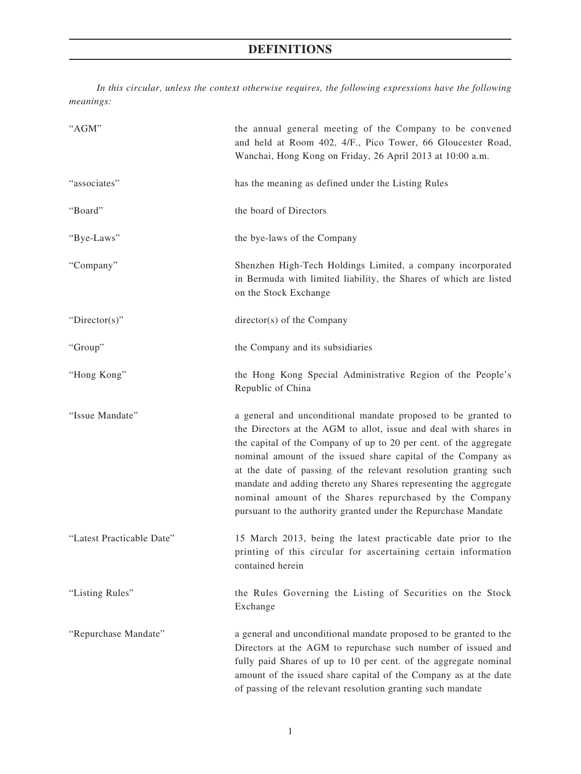# **DEFINITIONS**

*In this circular, unless the context otherwise requires, the following expressions have the following meanings:*

| "AGM"                     | the annual general meeting of the Company to be convened<br>and held at Room 402, 4/F., Pico Tower, 66 Gloucester Road,<br>Wanchai, Hong Kong on Friday, 26 April 2013 at 10:00 a.m.                                                                                                                                                                                                                                                                                                                                                       |  |
|---------------------------|--------------------------------------------------------------------------------------------------------------------------------------------------------------------------------------------------------------------------------------------------------------------------------------------------------------------------------------------------------------------------------------------------------------------------------------------------------------------------------------------------------------------------------------------|--|
| "associates"              | has the meaning as defined under the Listing Rules                                                                                                                                                                                                                                                                                                                                                                                                                                                                                         |  |
| "Board"                   | the board of Directors                                                                                                                                                                                                                                                                                                                                                                                                                                                                                                                     |  |
| "Bye-Laws"                | the bye-laws of the Company                                                                                                                                                                                                                                                                                                                                                                                                                                                                                                                |  |
| "Company"                 | Shenzhen High-Tech Holdings Limited, a company incorporated<br>in Bermuda with limited liability, the Shares of which are listed<br>on the Stock Exchange                                                                                                                                                                                                                                                                                                                                                                                  |  |
| " $Directory$ "           | director(s) of the Company                                                                                                                                                                                                                                                                                                                                                                                                                                                                                                                 |  |
| "Group"                   | the Company and its subsidiaries                                                                                                                                                                                                                                                                                                                                                                                                                                                                                                           |  |
| "Hong Kong"               | the Hong Kong Special Administrative Region of the People's<br>Republic of China                                                                                                                                                                                                                                                                                                                                                                                                                                                           |  |
| "Issue Mandate"           | a general and unconditional mandate proposed to be granted to<br>the Directors at the AGM to allot, issue and deal with shares in<br>the capital of the Company of up to 20 per cent. of the aggregate<br>nominal amount of the issued share capital of the Company as<br>at the date of passing of the relevant resolution granting such<br>mandate and adding thereto any Shares representing the aggregate<br>nominal amount of the Shares repurchased by the Company<br>pursuant to the authority granted under the Repurchase Mandate |  |
| "Latest Practicable Date" | 15 March 2013, being the latest practicable date prior to the<br>printing of this circular for ascertaining certain information<br>contained herein                                                                                                                                                                                                                                                                                                                                                                                        |  |
| "Listing Rules"           | the Rules Governing the Listing of Securities on the Stock<br>Exchange                                                                                                                                                                                                                                                                                                                                                                                                                                                                     |  |
| "Repurchase Mandate"      | a general and unconditional mandate proposed to be granted to the<br>Directors at the AGM to repurchase such number of issued and<br>fully paid Shares of up to 10 per cent. of the aggregate nominal<br>amount of the issued share capital of the Company as at the date<br>of passing of the relevant resolution granting such mandate                                                                                                                                                                                                   |  |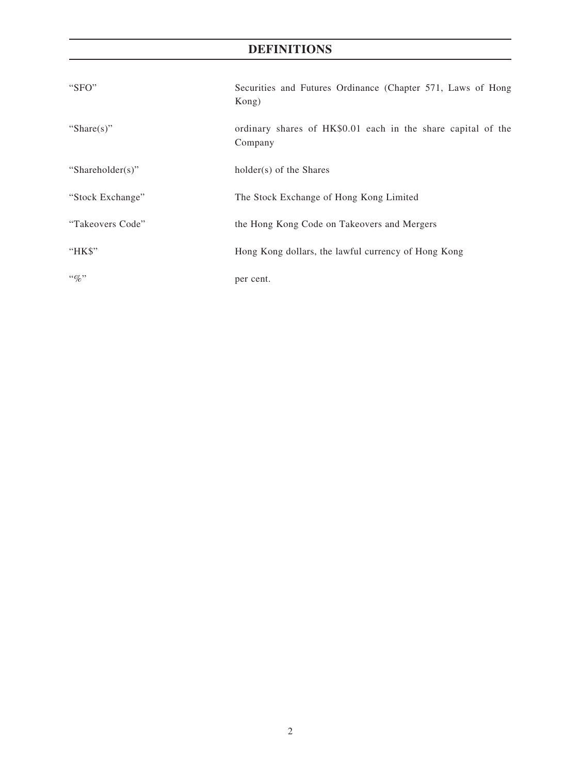# **DEFINITIONS**

| "SFO"            | Securities and Futures Ordinance (Chapter 571, Laws of Hong<br>Kong)    |  |
|------------------|-------------------------------------------------------------------------|--|
| "Share $(s)$ "   | ordinary shares of HK\$0.01 each in the share capital of the<br>Company |  |
| "Shareholder(s)" | holder(s) of the Shares                                                 |  |
| "Stock Exchange" | The Stock Exchange of Hong Kong Limited                                 |  |
| "Takeovers Code" | the Hong Kong Code on Takeovers and Mergers                             |  |
| "HK\$"           | Hong Kong dollars, the lawful currency of Hong Kong                     |  |
| $``\%"$          | per cent.                                                               |  |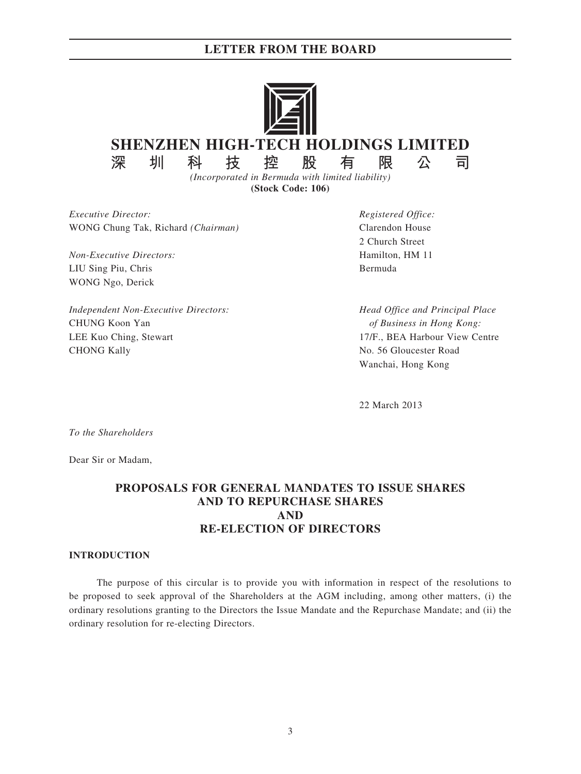## **LETTER FROM THE BOARD**



**(Stock Code: 106)**

*Executive Director: Registered Office:* WONG Chung Tak, Richard *(Chairman)* Clarendon House

*Non-Executive Directors:* Hamilton, HM 11 LIU Sing Piu, Chris Bermuda WONG Ngo, Derick

*Independent Non-Executive Directors: Head Office and Principal Place* CHUNG Koon Yan *of Business in Hong Kong:* LEE Kuo Ching, Stewart 17/F., BEA Harbour View Centre CHONG Kally No. 56 Gloucester Road

2 Church Street

Wanchai, Hong Kong

22 March 2013

*To the Shareholders*

Dear Sir or Madam,

# **PROPOSALS FOR GENERAL MANDATES TO ISSUE SHARES AND TO REPURCHASE SHARES AND RE-ELECTION OF DIRECTORS**

### **INTRODUCTION**

The purpose of this circular is to provide you with information in respect of the resolutions to be proposed to seek approval of the Shareholders at the AGM including, among other matters, (i) the ordinary resolutions granting to the Directors the Issue Mandate and the Repurchase Mandate; and (ii) the ordinary resolution for re-electing Directors.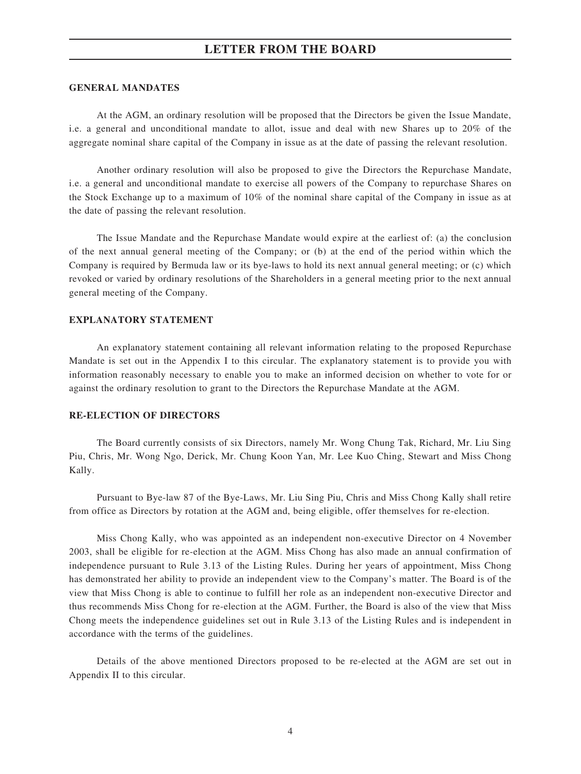## **LETTER FROM THE BOARD**

### **GENERAL MANDATES**

At the AGM, an ordinary resolution will be proposed that the Directors be given the Issue Mandate, i.e. a general and unconditional mandate to allot, issue and deal with new Shares up to 20% of the aggregate nominal share capital of the Company in issue as at the date of passing the relevant resolution.

Another ordinary resolution will also be proposed to give the Directors the Repurchase Mandate, i.e. a general and unconditional mandate to exercise all powers of the Company to repurchase Shares on the Stock Exchange up to a maximum of 10% of the nominal share capital of the Company in issue as at the date of passing the relevant resolution.

The Issue Mandate and the Repurchase Mandate would expire at the earliest of: (a) the conclusion of the next annual general meeting of the Company; or (b) at the end of the period within which the Company is required by Bermuda law or its bye-laws to hold its next annual general meeting; or (c) which revoked or varied by ordinary resolutions of the Shareholders in a general meeting prior to the next annual general meeting of the Company.

### **EXPLANATORY STATEMENT**

An explanatory statement containing all relevant information relating to the proposed Repurchase Mandate is set out in the Appendix I to this circular. The explanatory statement is to provide you with information reasonably necessary to enable you to make an informed decision on whether to vote for or against the ordinary resolution to grant to the Directors the Repurchase Mandate at the AGM.

#### **RE-ELECTION OF DIRECTORS**

The Board currently consists of six Directors, namely Mr. Wong Chung Tak, Richard, Mr. Liu Sing Piu, Chris, Mr. Wong Ngo, Derick, Mr. Chung Koon Yan, Mr. Lee Kuo Ching, Stewart and Miss Chong Kally.

Pursuant to Bye-law 87 of the Bye-Laws, Mr. Liu Sing Piu, Chris and Miss Chong Kally shall retire from office as Directors by rotation at the AGM and, being eligible, offer themselves for re-election.

Miss Chong Kally, who was appointed as an independent non-executive Director on 4 November 2003, shall be eligible for re-election at the AGM. Miss Chong has also made an annual confirmation of independence pursuant to Rule 3.13 of the Listing Rules. During her years of appointment, Miss Chong has demonstrated her ability to provide an independent view to the Company's matter. The Board is of the view that Miss Chong is able to continue to fulfill her role as an independent non-executive Director and thus recommends Miss Chong for re-election at the AGM. Further, the Board is also of the view that Miss Chong meets the independence guidelines set out in Rule 3.13 of the Listing Rules and is independent in accordance with the terms of the guidelines.

Details of the above mentioned Directors proposed to be re-elected at the AGM are set out in Appendix II to this circular.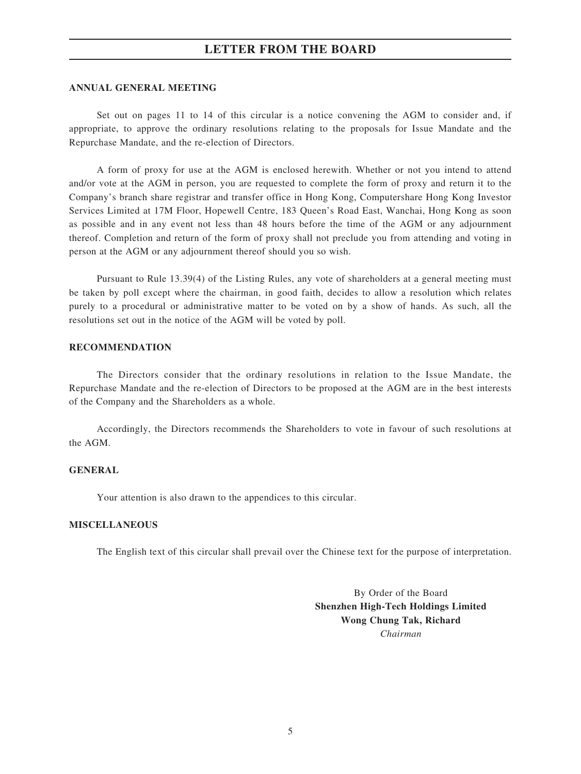## **LETTER FROM THE BOARD**

#### **ANNUAL GENERAL MEETING**

Set out on pages 11 to 14 of this circular is a notice convening the AGM to consider and, if appropriate, to approve the ordinary resolutions relating to the proposals for Issue Mandate and the Repurchase Mandate, and the re-election of Directors.

A form of proxy for use at the AGM is enclosed herewith. Whether or not you intend to attend and/or vote at the AGM in person, you are requested to complete the form of proxy and return it to the Company's branch share registrar and transfer office in Hong Kong, Computershare Hong Kong Investor Services Limited at 17M Floor, Hopewell Centre, 183 Queen's Road East, Wanchai, Hong Kong as soon as possible and in any event not less than 48 hours before the time of the AGM or any adjournment thereof. Completion and return of the form of proxy shall not preclude you from attending and voting in person at the AGM or any adjournment thereof should you so wish.

Pursuant to Rule 13.39(4) of the Listing Rules, any vote of shareholders at a general meeting must be taken by poll except where the chairman, in good faith, decides to allow a resolution which relates purely to a procedural or administrative matter to be voted on by a show of hands. As such, all the resolutions set out in the notice of the AGM will be voted by poll.

### **RECOMMENDATION**

The Directors consider that the ordinary resolutions in relation to the Issue Mandate, the Repurchase Mandate and the re-election of Directors to be proposed at the AGM are in the best interests of the Company and the Shareholders as a whole.

Accordingly, the Directors recommends the Shareholders to vote in favour of such resolutions at the AGM.

#### **GENERAL**

Your attention is also drawn to the appendices to this circular.

#### **MISCELLANEOUS**

The English text of this circular shall prevail over the Chinese text for the purpose of interpretation.

By Order of the Board **Shenzhen High-Tech Holdings Limited Wong Chung Tak, Richard** *Chairman*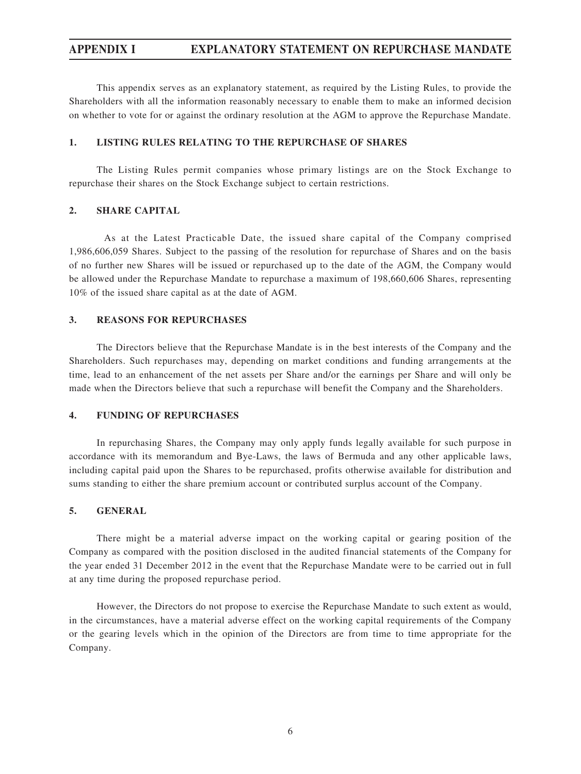# **APPENDIX I EXPLANATORY STATEMENT ON REPURCHASE MANDATE**

This appendix serves as an explanatory statement, as required by the Listing Rules, to provide the Shareholders with all the information reasonably necessary to enable them to make an informed decision on whether to vote for or against the ordinary resolution at the AGM to approve the Repurchase Mandate.

## **1. LISTING RULES RELATING TO THE REPURCHASE OF SHARES**

The Listing Rules permit companies whose primary listings are on the Stock Exchange to repurchase their shares on the Stock Exchange subject to certain restrictions.

### **2. SHARE CAPITAL**

As at the Latest Practicable Date, the issued share capital of the Company comprised 1,986,606,059 Shares. Subject to the passing of the resolution for repurchase of Shares and on the basis of no further new Shares will be issued or repurchased up to the date of the AGM, the Company would be allowed under the Repurchase Mandate to repurchase a maximum of 198,660,606 Shares, representing 10% of the issued share capital as at the date of AGM.

### **3. REASONS FOR REPURCHASES**

The Directors believe that the Repurchase Mandate is in the best interests of the Company and the Shareholders. Such repurchases may, depending on market conditions and funding arrangements at the time, lead to an enhancement of the net assets per Share and/or the earnings per Share and will only be made when the Directors believe that such a repurchase will benefit the Company and the Shareholders.

#### **4. FUNDING OF REPURCHASES**

In repurchasing Shares, the Company may only apply funds legally available for such purpose in accordance with its memorandum and Bye-Laws, the laws of Bermuda and any other applicable laws, including capital paid upon the Shares to be repurchased, profits otherwise available for distribution and sums standing to either the share premium account or contributed surplus account of the Company.

### **5. GENERAL**

There might be a material adverse impact on the working capital or gearing position of the Company as compared with the position disclosed in the audited financial statements of the Company for the year ended 31 December 2012 in the event that the Repurchase Mandate were to be carried out in full at any time during the proposed repurchase period.

However, the Directors do not propose to exercise the Repurchase Mandate to such extent as would, in the circumstances, have a material adverse effect on the working capital requirements of the Company or the gearing levels which in the opinion of the Directors are from time to time appropriate for the Company.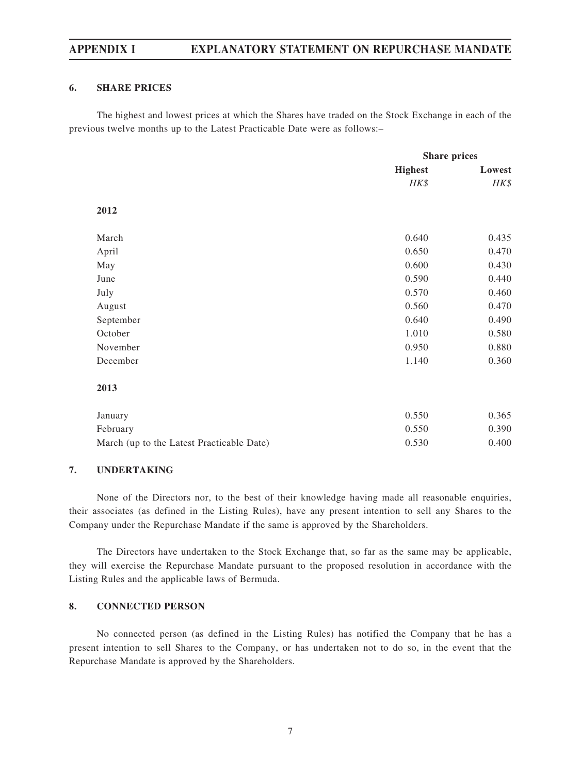# **APPENDIX I EXPLANATORY STATEMENT ON REPURCHASE MANDATE**

## **6. SHARE PRICES**

The highest and lowest prices at which the Shares have traded on the Stock Exchange in each of the previous twelve months up to the Latest Practicable Date were as follows:–

|                                           | <b>Share prices</b> |        |
|-------------------------------------------|---------------------|--------|
|                                           | <b>Highest</b>      | Lowest |
|                                           | HK\$                | HK\$   |
| 2012                                      |                     |        |
| March                                     | 0.640               | 0.435  |
| April                                     | 0.650               | 0.470  |
| May                                       | 0.600               | 0.430  |
| June                                      | 0.590               | 0.440  |
| July                                      | 0.570               | 0.460  |
| August                                    | 0.560               | 0.470  |
| September                                 | 0.640               | 0.490  |
| October                                   | 1.010               | 0.580  |
| November                                  | 0.950               | 0.880  |
| December                                  | 1.140               | 0.360  |
| 2013                                      |                     |        |
| January                                   | 0.550               | 0.365  |
| February                                  | 0.550               | 0.390  |
| March (up to the Latest Practicable Date) | 0.530               | 0.400  |

### **7. UNDERTAKING**

None of the Directors nor, to the best of their knowledge having made all reasonable enquiries, their associates (as defined in the Listing Rules), have any present intention to sell any Shares to the Company under the Repurchase Mandate if the same is approved by the Shareholders.

The Directors have undertaken to the Stock Exchange that, so far as the same may be applicable, they will exercise the Repurchase Mandate pursuant to the proposed resolution in accordance with the Listing Rules and the applicable laws of Bermuda.

### **8. CONNECTED PERSON**

No connected person (as defined in the Listing Rules) has notified the Company that he has a present intention to sell Shares to the Company, or has undertaken not to do so, in the event that the Repurchase Mandate is approved by the Shareholders.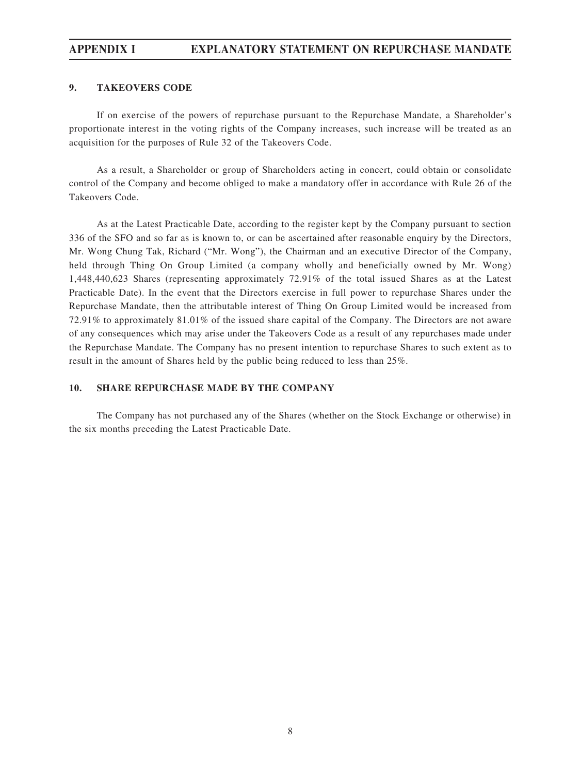# **APPENDIX I EXPLANATORY STATEMENT ON REPURCHASE MANDATE**

### **9. TAKEOVERS CODE**

If on exercise of the powers of repurchase pursuant to the Repurchase Mandate, a Shareholder's proportionate interest in the voting rights of the Company increases, such increase will be treated as an acquisition for the purposes of Rule 32 of the Takeovers Code.

As a result, a Shareholder or group of Shareholders acting in concert, could obtain or consolidate control of the Company and become obliged to make a mandatory offer in accordance with Rule 26 of the Takeovers Code.

As at the Latest Practicable Date, according to the register kept by the Company pursuant to section 336 of the SFO and so far as is known to, or can be ascertained after reasonable enquiry by the Directors, Mr. Wong Chung Tak, Richard ("Mr. Wong"), the Chairman and an executive Director of the Company, held through Thing On Group Limited (a company wholly and beneficially owned by Mr. Wong) 1,448,440,623 Shares (representing approximately 72.91% of the total issued Shares as at the Latest Practicable Date). In the event that the Directors exercise in full power to repurchase Shares under the Repurchase Mandate, then the attributable interest of Thing On Group Limited would be increased from 72.91% to approximately 81.01% of the issued share capital of the Company. The Directors are not aware of any consequences which may arise under the Takeovers Code as a result of any repurchases made under the Repurchase Mandate. The Company has no present intention to repurchase Shares to such extent as to result in the amount of Shares held by the public being reduced to less than 25%.

### **10. SHARE REPURCHASE MADE BY THE COMPANY**

The Company has not purchased any of the Shares (whether on the Stock Exchange or otherwise) in the six months preceding the Latest Practicable Date.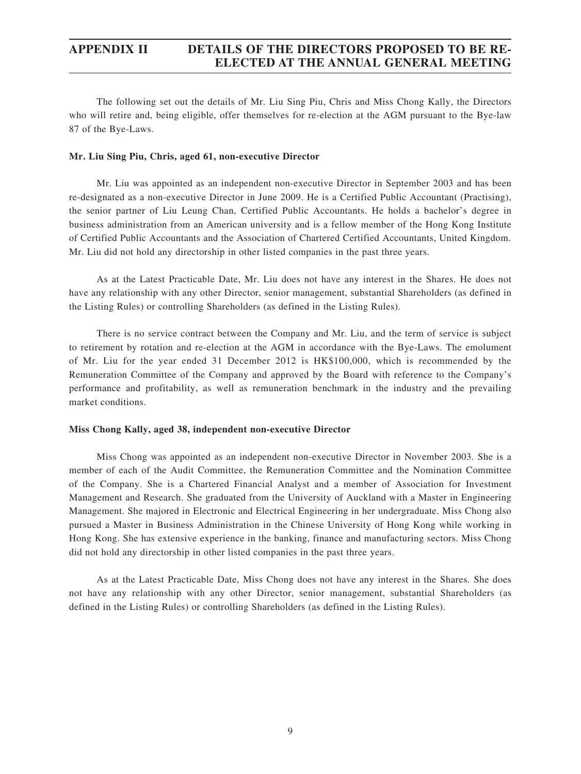# **APPENDIX II DETAILS OF THE DIRECTORS PROPOSED TO BE RE-ELECTED AT THE ANNUAL GENERAL MEETING**

The following set out the details of Mr. Liu Sing Piu, Chris and Miss Chong Kally, the Directors who will retire and, being eligible, offer themselves for re-election at the AGM pursuant to the Bye-law 87 of the Bye-Laws.

#### **Mr. Liu Sing Piu, Chris, aged 61, non-executive Director**

Mr. Liu was appointed as an independent non-executive Director in September 2003 and has been re-designated as a non-executive Director in June 2009. He is a Certified Public Accountant (Practising), the senior partner of Liu Leung Chan, Certified Public Accountants. He holds a bachelor's degree in business administration from an American university and is a fellow member of the Hong Kong Institute of Certified Public Accountants and the Association of Chartered Certified Accountants, United Kingdom. Mr. Liu did not hold any directorship in other listed companies in the past three years.

As at the Latest Practicable Date, Mr. Liu does not have any interest in the Shares. He does not have any relationship with any other Director, senior management, substantial Shareholders (as defined in the Listing Rules) or controlling Shareholders (as defined in the Listing Rules).

There is no service contract between the Company and Mr. Liu, and the term of service is subject to retirement by rotation and re-election at the AGM in accordance with the Bye-Laws. The emolument of Mr. Liu for the year ended 31 December 2012 is HK\$100,000, which is recommended by the Remuneration Committee of the Company and approved by the Board with reference to the Company's performance and profitability, as well as remuneration benchmark in the industry and the prevailing market conditions.

### **Miss Chong Kally, aged 38, independent non-executive Director**

Miss Chong was appointed as an independent non-executive Director in November 2003. She is a member of each of the Audit Committee, the Remuneration Committee and the Nomination Committee of the Company. She is a Chartered Financial Analyst and a member of Association for Investment Management and Research. She graduated from the University of Auckland with a Master in Engineering Management. She majored in Electronic and Electrical Engineering in her undergraduate. Miss Chong also pursued a Master in Business Administration in the Chinese University of Hong Kong while working in Hong Kong. She has extensive experience in the banking, finance and manufacturing sectors. Miss Chong did not hold any directorship in other listed companies in the past three years.

As at the Latest Practicable Date, Miss Chong does not have any interest in the Shares. She does not have any relationship with any other Director, senior management, substantial Shareholders (as defined in the Listing Rules) or controlling Shareholders (as defined in the Listing Rules).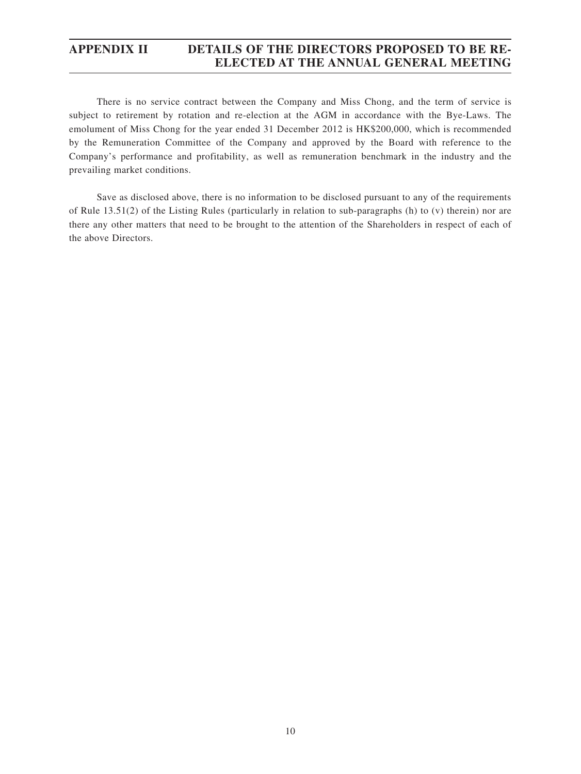## **APPENDIX II DETAILS OF THE DIRECTORS PROPOSED TO BE RE-ELECTED AT THE ANNUAL GENERAL MEETING**

There is no service contract between the Company and Miss Chong, and the term of service is subject to retirement by rotation and re-election at the AGM in accordance with the Bye-Laws. The emolument of Miss Chong for the year ended 31 December 2012 is HK\$200,000, which is recommended by the Remuneration Committee of the Company and approved by the Board with reference to the Company's performance and profitability, as well as remuneration benchmark in the industry and the prevailing market conditions.

Save as disclosed above, there is no information to be disclosed pursuant to any of the requirements of Rule 13.51(2) of the Listing Rules (particularly in relation to sub-paragraphs (h) to (v) therein) nor are there any other matters that need to be brought to the attention of the Shareholders in respect of each of the above Directors.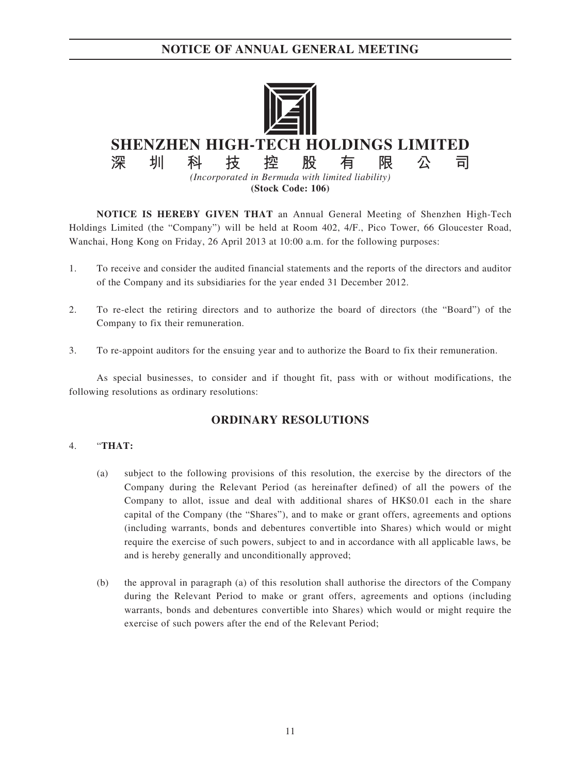

**NOTICE IS HEREBY GIVEN THAT** an Annual General Meeting of Shenzhen High-Tech Holdings Limited (the "Company") will be held at Room 402, 4/F., Pico Tower, 66 Gloucester Road, Wanchai, Hong Kong on Friday, 26 April 2013 at 10:00 a.m. for the following purposes:

- 1. To receive and consider the audited financial statements and the reports of the directors and auditor of the Company and its subsidiaries for the year ended 31 December 2012.
- 2. To re-elect the retiring directors and to authorize the board of directors (the "Board") of the Company to fix their remuneration.
- 3. To re-appoint auditors for the ensuing year and to authorize the Board to fix their remuneration.

As special businesses, to consider and if thought fit, pass with or without modifications, the following resolutions as ordinary resolutions:

## **ORDINARY RESOLUTIONS**

## 4. "**THAT:**

- (a) subject to the following provisions of this resolution, the exercise by the directors of the Company during the Relevant Period (as hereinafter defined) of all the powers of the Company to allot, issue and deal with additional shares of HK\$0.01 each in the share capital of the Company (the "Shares"), and to make or grant offers, agreements and options (including warrants, bonds and debentures convertible into Shares) which would or might require the exercise of such powers, subject to and in accordance with all applicable laws, be and is hereby generally and unconditionally approved;
- (b) the approval in paragraph (a) of this resolution shall authorise the directors of the Company during the Relevant Period to make or grant offers, agreements and options (including warrants, bonds and debentures convertible into Shares) which would or might require the exercise of such powers after the end of the Relevant Period;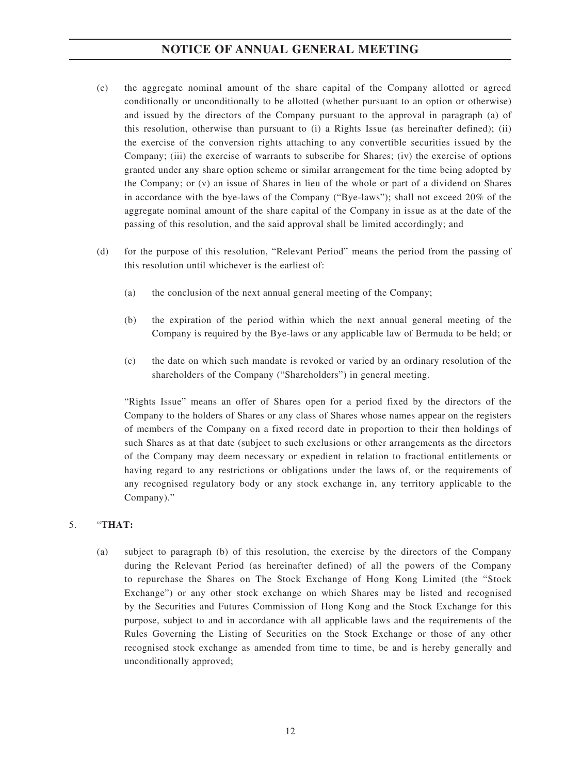- (c) the aggregate nominal amount of the share capital of the Company allotted or agreed conditionally or unconditionally to be allotted (whether pursuant to an option or otherwise) and issued by the directors of the Company pursuant to the approval in paragraph (a) of this resolution, otherwise than pursuant to (i) a Rights Issue (as hereinafter defined); (ii) the exercise of the conversion rights attaching to any convertible securities issued by the Company; (iii) the exercise of warrants to subscribe for Shares; (iv) the exercise of options granted under any share option scheme or similar arrangement for the time being adopted by the Company; or (v) an issue of Shares in lieu of the whole or part of a dividend on Shares in accordance with the bye-laws of the Company ("Bye-laws"); shall not exceed 20% of the aggregate nominal amount of the share capital of the Company in issue as at the date of the passing of this resolution, and the said approval shall be limited accordingly; and
- (d) for the purpose of this resolution, "Relevant Period" means the period from the passing of this resolution until whichever is the earliest of:
	- (a) the conclusion of the next annual general meeting of the Company;
	- (b) the expiration of the period within which the next annual general meeting of the Company is required by the Bye-laws or any applicable law of Bermuda to be held; or
	- (c) the date on which such mandate is revoked or varied by an ordinary resolution of the shareholders of the Company ("Shareholders") in general meeting.

"Rights Issue" means an offer of Shares open for a period fixed by the directors of the Company to the holders of Shares or any class of Shares whose names appear on the registers of members of the Company on a fixed record date in proportion to their then holdings of such Shares as at that date (subject to such exclusions or other arrangements as the directors of the Company may deem necessary or expedient in relation to fractional entitlements or having regard to any restrictions or obligations under the laws of, or the requirements of any recognised regulatory body or any stock exchange in, any territory applicable to the Company)."

## 5. "**THAT:**

(a) subject to paragraph (b) of this resolution, the exercise by the directors of the Company during the Relevant Period (as hereinafter defined) of all the powers of the Company to repurchase the Shares on The Stock Exchange of Hong Kong Limited (the "Stock Exchange") or any other stock exchange on which Shares may be listed and recognised by the Securities and Futures Commission of Hong Kong and the Stock Exchange for this purpose, subject to and in accordance with all applicable laws and the requirements of the Rules Governing the Listing of Securities on the Stock Exchange or those of any other recognised stock exchange as amended from time to time, be and is hereby generally and unconditionally approved;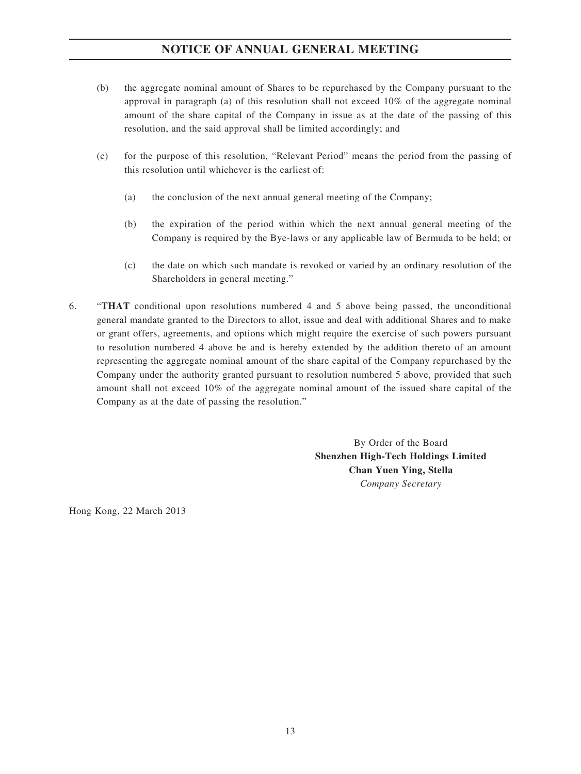- (b) the aggregate nominal amount of Shares to be repurchased by the Company pursuant to the approval in paragraph (a) of this resolution shall not exceed 10% of the aggregate nominal amount of the share capital of the Company in issue as at the date of the passing of this resolution, and the said approval shall be limited accordingly; and
- (c) for the purpose of this resolution, "Relevant Period" means the period from the passing of this resolution until whichever is the earliest of:
	- (a) the conclusion of the next annual general meeting of the Company;
	- (b) the expiration of the period within which the next annual general meeting of the Company is required by the Bye-laws or any applicable law of Bermuda to be held; or
	- (c) the date on which such mandate is revoked or varied by an ordinary resolution of the Shareholders in general meeting."
- 6. "**THAT** conditional upon resolutions numbered 4 and 5 above being passed, the unconditional general mandate granted to the Directors to allot, issue and deal with additional Shares and to make or grant offers, agreements, and options which might require the exercise of such powers pursuant to resolution numbered 4 above be and is hereby extended by the addition thereto of an amount representing the aggregate nominal amount of the share capital of the Company repurchased by the Company under the authority granted pursuant to resolution numbered 5 above, provided that such amount shall not exceed 10% of the aggregate nominal amount of the issued share capital of the Company as at the date of passing the resolution."

By Order of the Board **Shenzhen High-Tech Holdings Limited Chan Yuen Ying, Stella** *Company Secretary*

Hong Kong, 22 March 2013